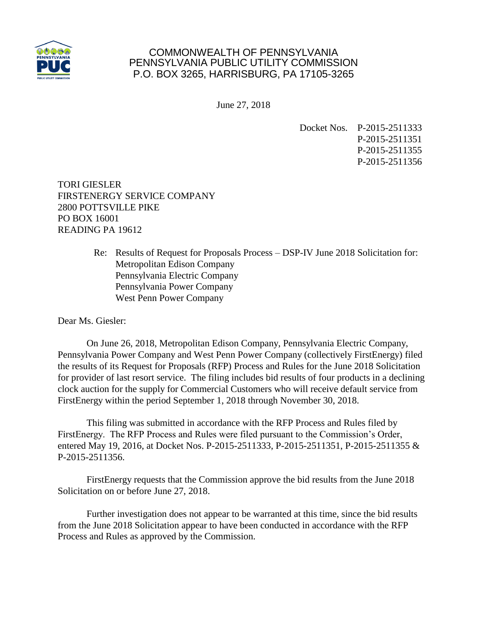

## COMMONWEALTH OF PENNSYLVANIA PENNSYLVANIA PUBLIC UTILITY COMMISSION P.O. BOX 3265, HARRISBURG, PA 17105-3265

June 27, 2018

Docket Nos. P-2015-2511333 P-2015-2511351 P-2015-2511355 P-2015-2511356

TORI GIESLER FIRSTENERGY SERVICE COMPANY 2800 POTTSVILLE PIKE PO BOX 16001 READING PA 19612

> Re: Results of Request for Proposals Process – DSP-IV June 2018 Solicitation for: Metropolitan Edison Company Pennsylvania Electric Company Pennsylvania Power Company West Penn Power Company

Dear Ms. Giesler:

On June 26, 2018, Metropolitan Edison Company, Pennsylvania Electric Company, Pennsylvania Power Company and West Penn Power Company (collectively FirstEnergy) filed the results of its Request for Proposals (RFP) Process and Rules for the June 2018 Solicitation for provider of last resort service. The filing includes bid results of four products in a declining clock auction for the supply for Commercial Customers who will receive default service from FirstEnergy within the period September 1, 2018 through November 30, 2018.

This filing was submitted in accordance with the RFP Process and Rules filed by FirstEnergy. The RFP Process and Rules were filed pursuant to the Commission's Order, entered May 19, 2016, at Docket Nos. P-2015-2511333, P-2015-2511351, P-2015-2511355 & P-2015-2511356.

FirstEnergy requests that the Commission approve the bid results from the June 2018 Solicitation on or before June 27, 2018.

Further investigation does not appear to be warranted at this time, since the bid results from the June 2018 Solicitation appear to have been conducted in accordance with the RFP Process and Rules as approved by the Commission.